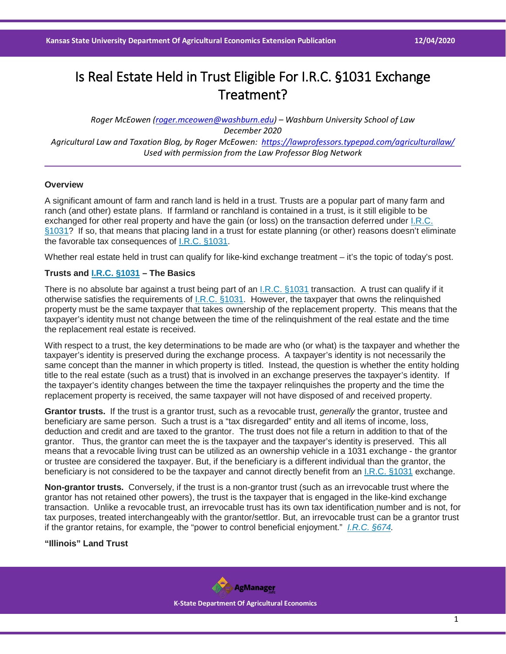# Is Real Estate Held in Trust Eligible For I.R.C. §1031 Exchange Treatment?

*Roger McEowen [\(roger.mceowen@washburn.edu\)](mailto:roger.mceowen@washburn.edu) – Washburn University School of Law December 2020 Agricultural Law and Taxation Blog, by Roger McEowen:<https://lawprofessors.typepad.com/agriculturallaw/> Used with permission from the Law Professor Blog Network*

## **Overview**

A significant amount of farm and ranch land is held in a trust. Trusts are a popular part of many farm and ranch (and other) estate plans. If farmland or ranchland is contained in a trust, is it still eligible to be exchanged for other real property and have the gain (or loss) on the transaction deferred under [I.R.C.](https://casetext.com/statute/united-states-code/title-26-internal-revenue-code/subtitle-a-income-taxes/chapter-1-normal-taxes-and-surtaxes/subchapter-o-gain-or-loss-on-disposition-of-property/part-iii-common-nontaxable-exchanges/section-1031-exchange-of-real-property-held-for-productive-use-or-investment?ref=ArRBZs!cleIHC)  [§1031?](https://casetext.com/statute/united-states-code/title-26-internal-revenue-code/subtitle-a-income-taxes/chapter-1-normal-taxes-and-surtaxes/subchapter-o-gain-or-loss-on-disposition-of-property/part-iii-common-nontaxable-exchanges/section-1031-exchange-of-real-property-held-for-productive-use-or-investment?ref=ArRBZs!cleIHC) If so, that means that placing land in a trust for estate planning (or other) reasons doesn't eliminate the favorable tax consequences of [I.R.C. §1031.](https://casetext.com/statute/united-states-code/title-26-internal-revenue-code/subtitle-a-income-taxes/chapter-1-normal-taxes-and-surtaxes/subchapter-o-gain-or-loss-on-disposition-of-property/part-iii-common-nontaxable-exchanges/section-1031-exchange-of-real-property-held-for-productive-use-or-investment?ref=ArRBZs!cleIHC)

Whether real estate held in trust can qualify for like-kind exchange treatment – it's the topic of today's post.

## **Trusts and [I.R.C. §1031](https://casetext.com/statute/united-states-code/title-26-internal-revenue-code/subtitle-a-income-taxes/chapter-1-normal-taxes-and-surtaxes/subchapter-o-gain-or-loss-on-disposition-of-property/part-iii-common-nontaxable-exchanges/section-1031-exchange-of-real-property-held-for-productive-use-or-investment?ref=ArRBZs!cleIHC) – The Basics**

There is no absolute bar against a trust being part of an [I.R.C. §1031](https://casetext.com/statute/united-states-code/title-26-internal-revenue-code/subtitle-a-income-taxes/chapter-1-normal-taxes-and-surtaxes/subchapter-o-gain-or-loss-on-disposition-of-property/part-iii-common-nontaxable-exchanges/section-1031-exchange-of-real-property-held-for-productive-use-or-investment?ref=ArRBZs!cleIHC) transaction. A trust can qualify if it otherwise satisfies the requirements of [I.R.C. §1031.](https://casetext.com/statute/united-states-code/title-26-internal-revenue-code/subtitle-a-income-taxes/chapter-1-normal-taxes-and-surtaxes/subchapter-o-gain-or-loss-on-disposition-of-property/part-iii-common-nontaxable-exchanges/section-1031-exchange-of-real-property-held-for-productive-use-or-investment?ref=ArRBZs!cleIHC) However, the taxpayer that owns the relinquished property must be the same taxpayer that takes ownership of the replacement property. This means that the taxpayer's identity must not change between the time of the relinquishment of the real estate and the time the replacement real estate is received.

With respect to a trust, the key determinations to be made are who (or what) is the taxpayer and whether the taxpayer's identity is preserved during the exchange process. A taxpayer's identity is not necessarily the same concept than the manner in which property is titled. Instead, the question is whether the entity holding title to the real estate (such as a trust) that is involved in an exchange preserves the taxpayer's identity. If the taxpayer's identity changes between the time the taxpayer relinquishes the property and the time the replacement property is received, the same taxpayer will not have disposed of and received property.

**Grantor trusts.** If the trust is a grantor trust, such as a revocable trust, *generally* the grantor, trustee and beneficiary are same person. Such a trust is a "tax disregarded" entity and all items of income, loss, deduction and credit and are taxed to the grantor. The trust does not file a return in addition to that of the grantor. Thus, the grantor can meet the is the taxpayer and the taxpayer's identity is preserved. This all means that a revocable living trust can be utilized as an ownership vehicle in a 1031 exchange - the grantor or trustee are considered the taxpayer. But, if the beneficiary is a different individual than the grantor, the beneficiary is not considered to be the taxpayer and cannot directly benefit from an [I.R.C. §1031](https://casetext.com/statute/united-states-code/title-26-internal-revenue-code/subtitle-a-income-taxes/chapter-1-normal-taxes-and-surtaxes/subchapter-o-gain-or-loss-on-disposition-of-property/part-iii-common-nontaxable-exchanges/section-1031-exchange-of-real-property-held-for-productive-use-or-investment?ref=ArRBZs!cleIHC) exchange.

**Non-grantor trusts.** Conversely, if the trust is a non-grantor trust (such as an irrevocable trust where the grantor has not retained other powers), the trust is the taxpayer that is engaged in the like-kind exchange transaction. Unlike a revocable trust, an irrevocable trust has its own tax identification number and is not, for tax purposes, treated interchangeably with the grantor/settlor. But, an irrevocable trust can be a grantor trust if the grantor retains, for example, the "power to control beneficial enjoyment." *[I.R.C. §674.](https://casetext.com/statute/united-states-code/title-26-internal-revenue-code/subtitle-a-income-taxes/chapter-1-normal-taxes-and-surtaxes/subchapter-j-estates-trusts-beneficiaries-and-decedents/part-i-estates-trusts-and-beneficiaries/subpart-e-grantors-and-others-treated-as-substantial-owners/section-674-power-to-control-beneficial-enjoyment?ref=ArRBZs!tDVLTa)*

**"Illinois" Land Trust**

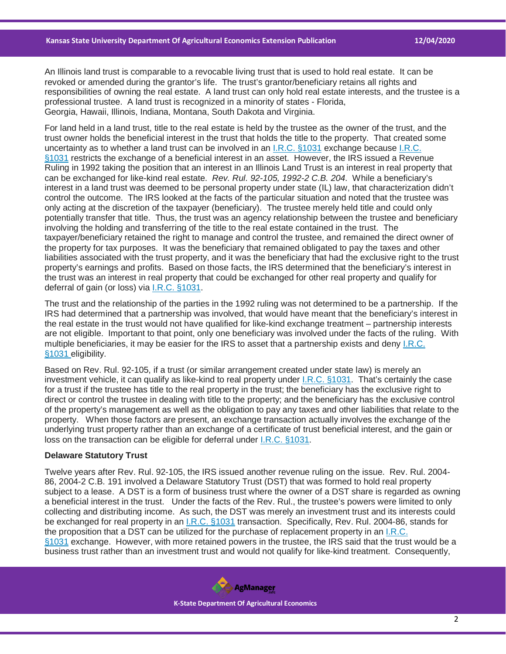An Illinois land trust is comparable to a revocable living trust that is used to hold real estate. It can be revoked or amended during the grantor's life. The trust's grantor/beneficiary retains all rights and responsibilities of owning the real estate. A land trust can only hold real estate interests, and the trustee is a professional trustee. A land trust is recognized in a minority of states - Florida, Georgia, Hawaii, Illinois, Indiana, Montana, South Dakota and Virginia.

For land held in a land trust, title to the real estate is held by the trustee as the owner of the trust, and the trust owner holds the beneficial interest in the trust that holds the title to the property. That created some uncertainty as to whether a land trust can be involved in an [I.R.C. §1031](https://casetext.com/statute/united-states-code/title-26-internal-revenue-code/subtitle-a-income-taxes/chapter-1-normal-taxes-and-surtaxes/subchapter-o-gain-or-loss-on-disposition-of-property/part-iii-common-nontaxable-exchanges/section-1031-exchange-of-real-property-held-for-productive-use-or-investment?ref=ArRBZs!cleIHC) exchange because [I.R.C.](https://casetext.com/statute/united-states-code/title-26-internal-revenue-code/subtitle-a-income-taxes/chapter-1-normal-taxes-and-surtaxes/subchapter-o-gain-or-loss-on-disposition-of-property/part-iii-common-nontaxable-exchanges/section-1031-exchange-of-real-property-held-for-productive-use-or-investment?ref=ArRBZs!cleIHC)  [§1031](https://casetext.com/statute/united-states-code/title-26-internal-revenue-code/subtitle-a-income-taxes/chapter-1-normal-taxes-and-surtaxes/subchapter-o-gain-or-loss-on-disposition-of-property/part-iii-common-nontaxable-exchanges/section-1031-exchange-of-real-property-held-for-productive-use-or-investment?ref=ArRBZs!cleIHC) restricts the exchange of a beneficial interest in an asset. However, the IRS issued a Revenue Ruling in 1992 taking the position that an interest in an Illinois Land Trust is an interest in real property that can be exchanged for like-kind real estate. *Rev. Rul. 92-105, 1992-2 C.B. 204.* While a beneficiary's interest in a land trust was deemed to be personal property under state (IL) law, that characterization didn't control the outcome. The IRS looked at the facts of the particular situation and noted that the trustee was only acting at the discretion of the taxpayer (beneficiary). The trustee merely held title and could only potentially transfer that title. Thus, the trust was an agency relationship between the trustee and beneficiary involving the holding and transferring of the title to the real estate contained in the trust. The taxpayer/beneficiary retained the right to manage and control the trustee, and remained the direct owner of the property for tax purposes. It was the beneficiary that remained obligated to pay the taxes and other liabilities associated with the trust property, and it was the beneficiary that had the exclusive right to the trust property's earnings and profits. Based on those facts, the IRS determined that the beneficiary's interest in the trust was an interest in real property that could be exchanged for other real property and qualify for deferral of gain (or loss) via [I.R.C. §1031.](https://casetext.com/statute/united-states-code/title-26-internal-revenue-code/subtitle-a-income-taxes/chapter-1-normal-taxes-and-surtaxes/subchapter-o-gain-or-loss-on-disposition-of-property/part-iii-common-nontaxable-exchanges/section-1031-exchange-of-real-property-held-for-productive-use-or-investment?ref=ArRBZs!cleIHC)

The trust and the relationship of the parties in the 1992 ruling was not determined to be a partnership. If the IRS had determined that a partnership was involved, that would have meant that the beneficiary's interest in the real estate in the trust would not have qualified for like-kind exchange treatment – partnership interests are not eligible. Important to that point, only one beneficiary was involved under the facts of the ruling. With multiple beneficiaries, it may be easier for the IRS to asset that a partnership exists and deny [I.R.C.](https://casetext.com/statute/united-states-code/title-26-internal-revenue-code/subtitle-a-income-taxes/chapter-1-normal-taxes-and-surtaxes/subchapter-o-gain-or-loss-on-disposition-of-property/part-iii-common-nontaxable-exchanges/section-1031-exchange-of-real-property-held-for-productive-use-or-investment?ref=ArRBZs!cleIHC)  [§1031](https://casetext.com/statute/united-states-code/title-26-internal-revenue-code/subtitle-a-income-taxes/chapter-1-normal-taxes-and-surtaxes/subchapter-o-gain-or-loss-on-disposition-of-property/part-iii-common-nontaxable-exchanges/section-1031-exchange-of-real-property-held-for-productive-use-or-investment?ref=ArRBZs!cleIHC) eligibility.

Based on Rev. Rul. 92-105, if a trust (or similar arrangement created under state law) is merely an investment vehicle, it can qualify as like-kind to real property under *I.R.C. §1031*. That's certainly the case for a trust if the trustee has title to the real property in the trust; the beneficiary has the exclusive right to direct or control the trustee in dealing with title to the property; and the beneficiary has the exclusive control of the property's management as well as the obligation to pay any taxes and other liabilities that relate to the property. When those factors are present, an exchange transaction actually involves the exchange of the underlying trust property rather than an exchange of a certificate of trust beneficial interest, and the gain or loss on the transaction can be eligible for deferral under [I.R.C. §1031.](https://casetext.com/statute/united-states-code/title-26-internal-revenue-code/subtitle-a-income-taxes/chapter-1-normal-taxes-and-surtaxes/subchapter-o-gain-or-loss-on-disposition-of-property/part-iii-common-nontaxable-exchanges/section-1031-exchange-of-real-property-held-for-productive-use-or-investment?ref=ArRBZs!cleIHC)

#### **Delaware Statutory Trust**

Twelve years after Rev. Rul. 92-105, the IRS issued another revenue ruling on the issue. Rev. Rul. 2004- 86, 2004-2 C.B. 191 involved a Delaware Statutory Trust (DST) that was formed to hold real property subject to a lease. A DST is a form of business trust where the owner of a DST share is regarded as owning a beneficial interest in the trust. Under the facts of the Rev. Rul., the trustee's powers were limited to only collecting and distributing income. As such, the DST was merely an investment trust and its interests could be exchanged for real property in an [I.R.C. §1031](https://casetext.com/statute/united-states-code/title-26-internal-revenue-code/subtitle-a-income-taxes/chapter-1-normal-taxes-and-surtaxes/subchapter-o-gain-or-loss-on-disposition-of-property/part-iii-common-nontaxable-exchanges/section-1031-exchange-of-real-property-held-for-productive-use-or-investment?ref=ArRBZs!cleIHC) transaction. Specifically, Rev. Rul. 2004-86, stands for the proposition that a DST can be utilized for the purchase of replacement property in an [I.R.C.](https://casetext.com/statute/united-states-code/title-26-internal-revenue-code/subtitle-a-income-taxes/chapter-1-normal-taxes-and-surtaxes/subchapter-o-gain-or-loss-on-disposition-of-property/part-iii-common-nontaxable-exchanges/section-1031-exchange-of-real-property-held-for-productive-use-or-investment?ref=ArRBZs!cleIHC)  [§1031](https://casetext.com/statute/united-states-code/title-26-internal-revenue-code/subtitle-a-income-taxes/chapter-1-normal-taxes-and-surtaxes/subchapter-o-gain-or-loss-on-disposition-of-property/part-iii-common-nontaxable-exchanges/section-1031-exchange-of-real-property-held-for-productive-use-or-investment?ref=ArRBZs!cleIHC) exchange. However, with more retained powers in the trustee, the IRS said that the trust would be a business trust rather than an investment trust and would not qualify for like-kind treatment. Consequently,

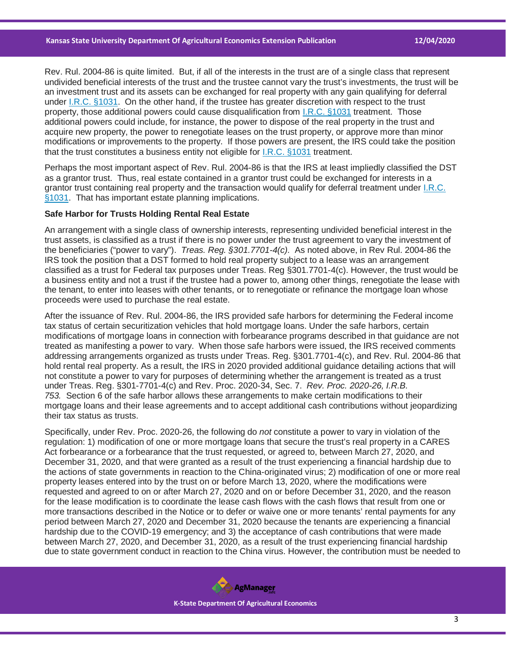Rev. Rul. 2004-86 is quite limited. But, if all of the interests in the trust are of a single class that represent undivided beneficial interests of the trust and the trustee cannot vary the trust's investments, the trust will be an investment trust and its assets can be exchanged for real property with any gain qualifying for deferral under [I.R.C. §1031.](https://casetext.com/statute/united-states-code/title-26-internal-revenue-code/subtitle-a-income-taxes/chapter-1-normal-taxes-and-surtaxes/subchapter-o-gain-or-loss-on-disposition-of-property/part-iii-common-nontaxable-exchanges/section-1031-exchange-of-real-property-held-for-productive-use-or-investment?ref=ArRBZs!cleIHC) On the other hand, if the trustee has greater discretion with respect to the trust property, those additional powers could cause disqualification from [I.R.C. §1031](https://casetext.com/statute/united-states-code/title-26-internal-revenue-code/subtitle-a-income-taxes/chapter-1-normal-taxes-and-surtaxes/subchapter-o-gain-or-loss-on-disposition-of-property/part-iii-common-nontaxable-exchanges/section-1031-exchange-of-real-property-held-for-productive-use-or-investment?ref=ArRBZs!cleIHC) treatment. Those additional powers could include, for instance, the power to dispose of the real property in the trust and acquire new property, the power to renegotiate leases on the trust property, or approve more than minor modifications or improvements to the property. If those powers are present, the IRS could take the position that the trust constitutes a business entity not eligible for [I.R.C. §1031](https://casetext.com/statute/united-states-code/title-26-internal-revenue-code/subtitle-a-income-taxes/chapter-1-normal-taxes-and-surtaxes/subchapter-o-gain-or-loss-on-disposition-of-property/part-iii-common-nontaxable-exchanges/section-1031-exchange-of-real-property-held-for-productive-use-or-investment?ref=ArRBZs!cleIHC) treatment.

Perhaps the most important aspect of Rev. Rul. 2004-86 is that the IRS at least impliedly classified the DST as a grantor trust. Thus, real estate contained in a grantor trust could be exchanged for interests in a grantor trust containing real property and the transaction would qualify for deferral treatment under [I.R.C.](https://casetext.com/statute/united-states-code/title-26-internal-revenue-code/subtitle-a-income-taxes/chapter-1-normal-taxes-and-surtaxes/subchapter-o-gain-or-loss-on-disposition-of-property/part-iii-common-nontaxable-exchanges/section-1031-exchange-of-real-property-held-for-productive-use-or-investment?ref=ArRBZs!cleIHC)  [§1031.](https://casetext.com/statute/united-states-code/title-26-internal-revenue-code/subtitle-a-income-taxes/chapter-1-normal-taxes-and-surtaxes/subchapter-o-gain-or-loss-on-disposition-of-property/part-iii-common-nontaxable-exchanges/section-1031-exchange-of-real-property-held-for-productive-use-or-investment?ref=ArRBZs!cleIHC) That has important estate planning implications.

### **Safe Harbor for Trusts Holding Rental Real Estate**

An arrangement with a single class of ownership interests, representing undivided beneficial interest in the trust assets, is classified as a trust if there is no power under the trust agreement to vary the investment of the beneficiaries ("power to vary"). *Treas. Reg. §301.7701-4(c).* As noted above, in Rev Rul. 2004-86 the IRS took the position that a DST formed to hold real property subject to a lease was an arrangement classified as a trust for Federal tax purposes under Treas. Reg §301.7701-4(c). However, the trust would be a business entity and not a trust if the trustee had a power to, among other things, renegotiate the lease with the tenant, to enter into leases with other tenants, or to renegotiate or refinance the mortgage loan whose proceeds were used to purchase the real estate.

After the issuance of Rev. Rul. 2004-86, the IRS provided safe harbors for determining the Federal income tax status of certain securitization vehicles that hold mortgage loans. Under the safe harbors, certain modifications of mortgage loans in connection with forbearance programs described in that guidance are not treated as manifesting a power to vary. When those safe harbors were issued, the IRS received comments addressing arrangements organized as trusts under Treas. Reg. §301.7701-4(c), and Rev. Rul. 2004-86 that hold rental real property. As a result, the IRS in 2020 provided additional guidance detailing actions that will not constitute a power to vary for purposes of determining whether the arrangement is treated as a trust under Treas. Reg. §301-7701-4(c) and Rev. Proc. 2020-34, Sec. 7. *Rev. Proc. 2020-26, I.R.B. 753.* Section 6 of the safe harbor allows these arrangements to make certain modifications to their mortgage loans and their lease agreements and to accept additional cash contributions without jeopardizing their tax status as trusts.

Specifically, under Rev. Proc. 2020-26, the following do *not* constitute a power to vary in violation of the regulation: 1) modification of one or more mortgage loans that secure the trust's real property in a CARES Act forbearance or a forbearance that the trust requested, or agreed to, between March 27, 2020, and December 31, 2020, and that were granted as a result of the trust experiencing a financial hardship due to the actions of state governments in reaction to the China-originated virus; 2) modification of one or more real property leases entered into by the trust on or before March 13, 2020, where the modifications were requested and agreed to on or after March 27, 2020 and on or before December 31, 2020, and the reason for the lease modification is to coordinate the lease cash flows with the cash flows that result from one or more transactions described in the Notice or to defer or waive one or more tenants' rental payments for any period between March 27, 2020 and December 31, 2020 because the tenants are experiencing a financial hardship due to the COVID-19 emergency; and 3) the acceptance of cash contributions that were made between March 27, 2020, and December 31, 2020, as a result of the trust experiencing financial hardship due to state government conduct in reaction to the China virus. However, the contribution must be needed to